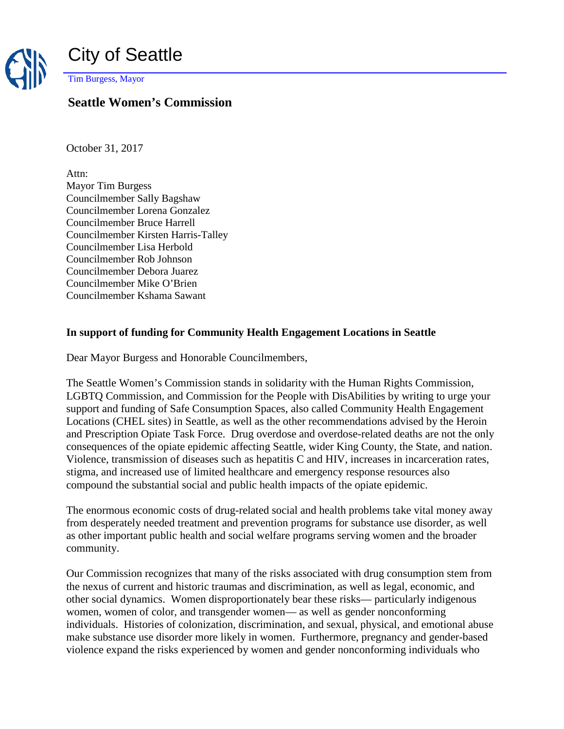

Tim Burgess, Mayor

## **Seattle Women's Commission**

October 31, 2017

Attn: Mayor Tim Burgess Councilmember Sally Bagshaw Councilmember Lorena Gonzalez Councilmember Bruce Harrell Councilmember Kirsten Harris-Talley Councilmember Lisa Herbold Councilmember Rob Johnson Councilmember Debora Juarez Councilmember Mike O'Brien Councilmember Kshama Sawant

## **In support of funding for Community Health Engagement Locations in Seattle**

Dear Mayor Burgess and Honorable Councilmembers,

The Seattle Women's Commission stands in solidarity with the Human Rights Commission, LGBTQ Commission, and Commission for the People with DisAbilities by writing to urge your support and funding of Safe Consumption Spaces, also called Community Health Engagement Locations (CHEL sites) in Seattle, as well as the other recommendations advised by the Heroin and Prescription Opiate Task Force. Drug overdose and overdose-related deaths are not the only consequences of the opiate epidemic affecting Seattle, wider King County, the State, and nation. Violence, transmission of diseases such as hepatitis C and HIV, increases in incarceration rates, stigma, and increased use of limited healthcare and emergency response resources also compound the substantial social and public health impacts of the opiate epidemic.

The enormous economic costs of drug-related social and health problems take vital money away from desperately needed treatment and prevention programs for substance use disorder, as well as other important public health and social welfare programs serving women and the broader community.

Our Commission recognizes that many of the risks associated with drug consumption stem from the nexus of current and historic traumas and discrimination, as well as legal, economic, and other social dynamics. Women disproportionately bear these risks— particularly indigenous women, women of color, and transgender women— as well as gender nonconforming individuals. Histories of colonization, discrimination, and sexual, physical, and emotional abuse make substance use disorder more likely in women. Furthermore, pregnancy and gender-based violence expand the risks experienced by women and gender nonconforming individuals who